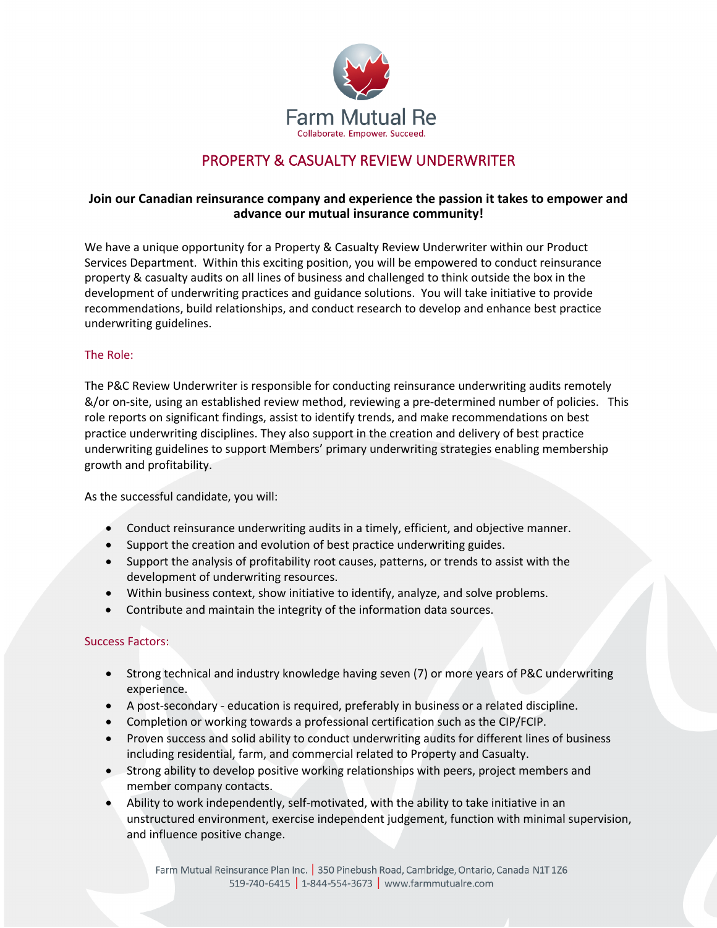

# PROPERTY & CASUALTY REVIEW UNDERWRITER

## **Join our Canadian reinsurance company and experience the passion it takes to empower and advance our mutual insurance community!**

We have a unique opportunity for a Property & Casualty Review Underwriter within our Product Services Department. Within this exciting position, you will be empowered to conduct reinsurance property & casualty audits on all lines of business and challenged to think outside the box in the development of underwriting practices and guidance solutions. You will take initiative to provide recommendations, build relationships, and conduct research to develop and enhance best practice underwriting guidelines.

#### The Role:

The P&C Review Underwriter is responsible for conducting reinsurance underwriting audits remotely &/or on-site, using an established review method, reviewing a pre-determined number of policies. This role reports on significant findings, assist to identify trends, and make recommendations on best practice underwriting disciplines. They also support in the creation and delivery of best practice underwriting guidelines to support Members' primary underwriting strategies enabling membership growth and profitability.

As the successful candidate, you will:

- Conduct reinsurance underwriting audits in a timely, efficient, and objective manner.
- Support the creation and evolution of best practice underwriting guides.
- Support the analysis of profitability root causes, patterns, or trends to assist with the development of underwriting resources.
- Within business context, show initiative to identify, analyze, and solve problems.
- Contribute and maintain the integrity of the information data sources.

## Success Factors:

- Strong technical and industry knowledge having seven (7) or more years of P&C underwriting experience.
- A post-secondary education is required, preferably in business or a related discipline.
- Completion or working towards a professional certification such as the CIP/FCIP.
- Proven success and solid ability to conduct underwriting audits for different lines of business including residential, farm, and commercial related to Property and Casualty.
- Strong ability to develop positive working relationships with peers, project members and member company contacts.
- Ability to work independently, self-motivated, with the ability to take initiative in an unstructured environment, exercise independent judgement, function with minimal supervision, and influence positive change.